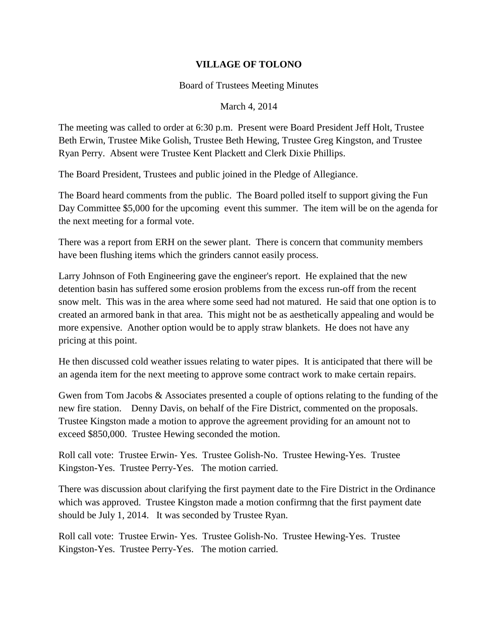## **VILLAGE OF TOLONO**

## Board of Trustees Meeting Minutes

## March 4, 2014

The meeting was called to order at 6:30 p.m. Present were Board President Jeff Holt, Trustee Beth Erwin, Trustee Mike Golish, Trustee Beth Hewing, Trustee Greg Kingston, and Trustee Ryan Perry. Absent were Trustee Kent Plackett and Clerk Dixie Phillips.

The Board President, Trustees and public joined in the Pledge of Allegiance.

The Board heard comments from the public. The Board polled itself to support giving the Fun Day Committee \$5,000 for the upcoming event this summer. The item will be on the agenda for the next meeting for a formal vote.

There was a report from ERH on the sewer plant. There is concern that community members have been flushing items which the grinders cannot easily process.

Larry Johnson of Foth Engineering gave the engineer's report. He explained that the new detention basin has suffered some erosion problems from the excess run-off from the recent snow melt. This was in the area where some seed had not matured. He said that one option is to created an armored bank in that area. This might not be as aesthetically appealing and would be more expensive. Another option would be to apply straw blankets. He does not have any pricing at this point.

He then discussed cold weather issues relating to water pipes. It is anticipated that there will be an agenda item for the next meeting to approve some contract work to make certain repairs.

Gwen from Tom Jacobs & Associates presented a couple of options relating to the funding of the new fire station. Denny Davis, on behalf of the Fire District, commented on the proposals. Trustee Kingston made a motion to approve the agreement providing for an amount not to exceed \$850,000. Trustee Hewing seconded the motion.

Roll call vote: Trustee Erwin- Yes. Trustee Golish-No. Trustee Hewing-Yes. Trustee Kingston-Yes. Trustee Perry-Yes. The motion carried.

There was discussion about clarifying the first payment date to the Fire District in the Ordinance which was approved. Trustee Kingston made a motion confirmng that the first payment date should be July 1, 2014. It was seconded by Trustee Ryan.

Roll call vote: Trustee Erwin- Yes. Trustee Golish-No. Trustee Hewing-Yes. Trustee Kingston-Yes. Trustee Perry-Yes. The motion carried.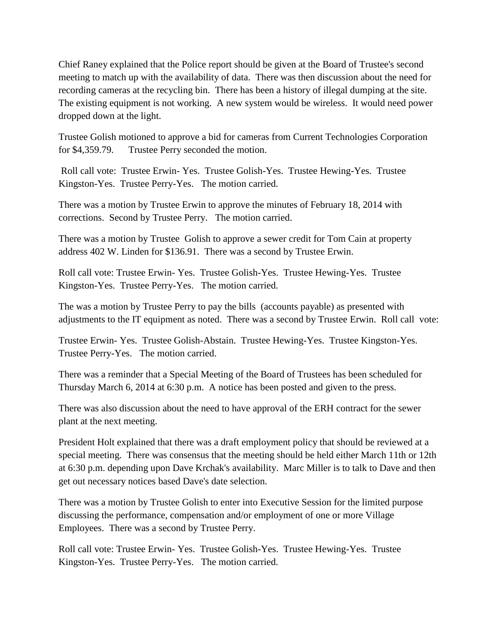Chief Raney explained that the Police report should be given at the Board of Trustee's second meeting to match up with the availability of data. There was then discussion about the need for recording cameras at the recycling bin. There has been a history of illegal dumping at the site. The existing equipment is not working. A new system would be wireless. It would need power dropped down at the light.

Trustee Golish motioned to approve a bid for cameras from Current Technologies Corporation for \$4,359.79. Trustee Perry seconded the motion.

Roll call vote: Trustee Erwin- Yes. Trustee Golish-Yes. Trustee Hewing-Yes. Trustee Kingston-Yes. Trustee Perry-Yes. The motion carried.

There was a motion by Trustee Erwin to approve the minutes of February 18, 2014 with corrections. Second by Trustee Perry. The motion carried.

There was a motion by Trustee Golish to approve a sewer credit for Tom Cain at property address 402 W. Linden for \$136.91. There was a second by Trustee Erwin.

Roll call vote: Trustee Erwin- Yes. Trustee Golish-Yes. Trustee Hewing-Yes. Trustee Kingston-Yes. Trustee Perry-Yes. The motion carried.

The was a motion by Trustee Perry to pay the bills (accounts payable) as presented with adjustments to the IT equipment as noted. There was a second by Trustee Erwin. Roll call vote:

Trustee Erwin- Yes. Trustee Golish-Abstain. Trustee Hewing-Yes. Trustee Kingston-Yes. Trustee Perry-Yes. The motion carried.

There was a reminder that a Special Meeting of the Board of Trustees has been scheduled for Thursday March 6, 2014 at 6:30 p.m. A notice has been posted and given to the press.

There was also discussion about the need to have approval of the ERH contract for the sewer plant at the next meeting.

President Holt explained that there was a draft employment policy that should be reviewed at a special meeting. There was consensus that the meeting should be held either March 11th or 12th at 6:30 p.m. depending upon Dave Krchak's availability. Marc Miller is to talk to Dave and then get out necessary notices based Dave's date selection.

There was a motion by Trustee Golish to enter into Executive Session for the limited purpose discussing the performance, compensation and/or employment of one or more Village Employees. There was a second by Trustee Perry.

Roll call vote: Trustee Erwin- Yes. Trustee Golish-Yes. Trustee Hewing-Yes. Trustee Kingston-Yes. Trustee Perry-Yes. The motion carried.